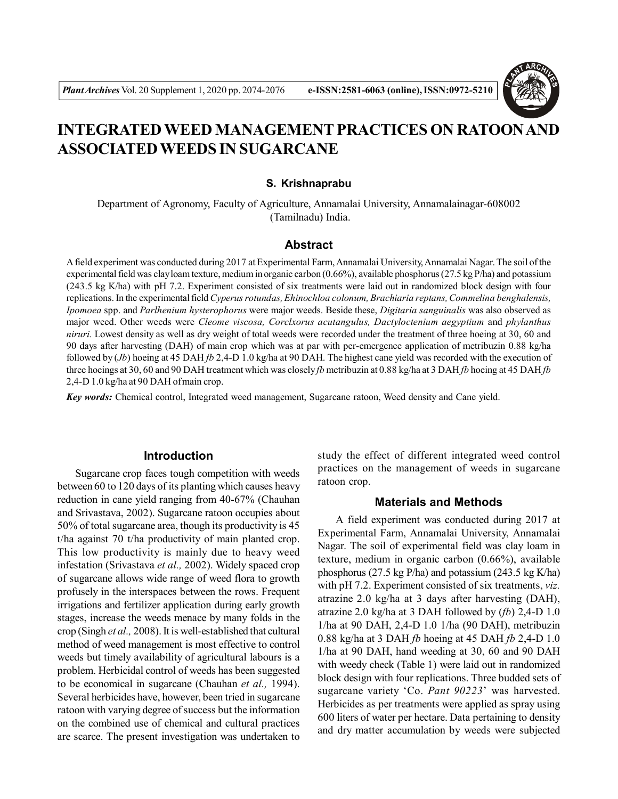

# **INTEGRATED WEED MANAGEMENT PRACTICES ON RATOON AND ASSOCIATED WEEDS IN SUGARCANE**

#### **S. Krishnaprabu**

Department of Agronomy, Faculty of Agriculture, Annamalai University, Annamalainagar-608002 (Tamilnadu) India.

## **Abstract**

A field experiment was conducted during 2017 at Experimental Farm, Annamalai University, Annamalai Nagar. The soil of the experimental field was clay loam texture, medium in organic carbon (0.66%), available phosphorus (27.5 kg P/ha) and potassium (243.5 kg K/ha) with pH 7.2. Experiment consisted of six treatments were laid out in randomized block design with four replications. In the experimental field *Cyperus rotundas, Ehinochloa colonum, Brachiaria reptans, Commelina benghalensis, Ipomoea* spp. and *Parlhenium hysterophorus* were major weeds. Beside these, *Digitaria sanguinalis* was also observed as major weed. Other weeds were *Cleome viscosa, Corclxorus acutangulus, Dactyloctenium aegyptium* and *phylanthus niruri.* Lowest density as well as dry weight of total weeds were recorded under the treatment of three hoeing at 30, 60 and 90 days after harvesting (DAH) of main crop which was at par with per-emergence application of metribuzin 0.88 kg/ha followed by (*Jb*) hoeing at 45 DAH *fb* 2,4-D 1.0 kg/ha at 90 DAH. The highest cane yield was recorded with the execution of three hoeings at 30, 60 and 90 DAH treatment which was closely *fb* metribuzin at 0.88 kg/ha at 3 DAH *fb* hoeing at 45 DAH *fb* 2,4-D 1.0 kg/ha at 90 DAH of main crop.

*Key words:* Chemical control, Integrated weed management, Sugarcane ratoon, Weed density and Cane yield.

#### **Introduction**

Sugarcane crop faces tough competition with weeds between 60 to 120 days of its planting which causes heavy reduction in cane yield ranging from 40-67% (Chauhan and Srivastava, 2002). Sugarcane ratoon occupies about 50% of total sugarcane area, though its productivity is 45 t/ha against 70 t/ha productivity of main planted crop. This low productivity is mainly due to heavy weed infestation (Srivastava *et al.,* 2002). Widely spaced crop of sugarcane allows wide range of weed flora to growth profusely in the interspaces between the rows. Frequent irrigations and fertilizer application during early growth stages, increase the weeds menace by many folds in the crop (Singh *et al.,* 2008). It is well-established that cultural method of weed management is most effective to control weeds but timely availability of agricultural labours is a problem. Herbicidal control of weeds has been suggested to be economical in sugarcane (Chauhan *et al.,* 1994). Several herbicides have, however, been tried in sugarcane ratoon with varying degree of success but the information on the combined use of chemical and cultural practices are scarce. The present investigation was undertaken to

study the effect of different integrated weed control practices on the management of weeds in sugarcane ratoon crop.

#### **Materials and Methods**

A field experiment was conducted during 2017 at Experimental Farm, Annamalai University, Annamalai Nagar. The soil of experimental field was clay loam in texture, medium in organic carbon (0.66%), available phosphorus (27.5 kg P/ha) and potassium (243.5 kg K/ha) with pH 7.2. Experiment consisted of six treatments, *viz.* atrazine 2.0 kg/ha at 3 days after harvesting (DAH), atrazine 2.0 kg/ha at 3 DAH followed by (*fb*) 2,4-D 1.0 1/ha at 90 DAH, 2,4-D 1.0 1/ha (90 DAH), metribuzin 0.88 kg/ha at 3 DAH *fb* hoeing at 45 DAH *fb* 2,4-D 1.0 1/ha at 90 DAH, hand weeding at 30, 60 and 90 DAH with weedy check (Table 1) were laid out in randomized block design with four replications. Three budded sets of sugarcane variety 'Co. *Pant 90223*' was harvested. Herbicides as per treatments were applied as spray using 600 liters of water per hectare. Data pertaining to density and dry matter accumulation by weeds were subjected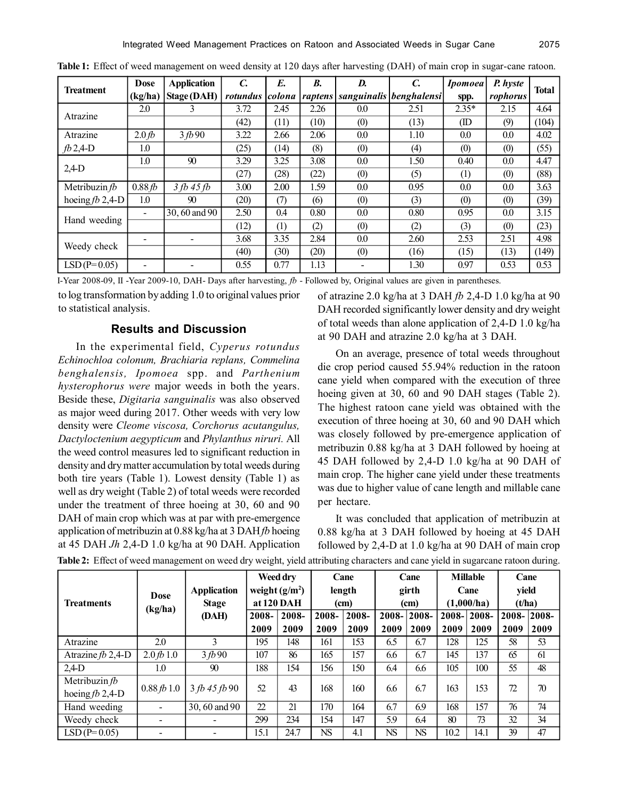| <b>Treatment</b>  | <b>Dose</b>      | <b>Application</b> | $\mathcal{C}$ | E.     | <b>B.</b> | D.  | $\mathcal{C}$                       | <b>Ipomoea</b> | P. hyste | Total |  |
|-------------------|------------------|--------------------|---------------|--------|-----------|-----|-------------------------------------|----------------|----------|-------|--|
|                   | (kg/ha)          | Stage (DAH)        | rotundus      | colona |           |     | raptens   sanguinalis   benghalensi | spp.           | rophorus |       |  |
| Atrazine          | 2.0              | 3                  | 3.72          | 2.45   | 2.26      | 0.0 | 2.51                                | $2.35*$        | 2.15     | 4.64  |  |
|                   |                  |                    | (42)          | (11)   | (10)      | (0) | (13)                                | (ID            | (9)      | (104) |  |
| Atrazine          | 2.0 <sub>b</sub> | 3fb90              | 3.22          | 2.66   | 2.06      | 0.0 | 1.10                                | 0.0            | 0.0      | 4.02  |  |
| $fb2,4-D$         | 1.0              |                    | (25)          | (14)   | (8)       | (0) | (4)                                 | (0)            | (0)      | (55)  |  |
| $2,4$ -D          | 1.0              | 90                 | 3.29          | 3.25   | 3.08      | 0.0 | 1.50                                | 0.40           | 0.0      | 4.47  |  |
|                   |                  |                    | (27)          | (28)   | (22)      | (0) | (5)                                 | (1)            | (0)      | (88)  |  |
| Metribuzin $fb$   | 0.88fb           | $3 fb$ 45 $fb$     | 3.00          | 2.00   | 1.59      | 0.0 | 0.95                                | 0.0            | 0.0      | 3.63  |  |
| hoeing $fb$ 2,4-D | 1.0              | 90                 | (20)          | (7)    | (6)       | (0) | (3)                                 | (0)            | (0)      | (39)  |  |
| Hand weeding      |                  | 30, 60 and 90      | 2.50          | 0.4    | 0.80      | 0.0 | 0.80                                | 0.95           | 0.0      | 3.15  |  |
|                   |                  |                    | (12)          | (1)    | (2)       | (0) | (2)                                 | (3)            | (0)      | (23)  |  |
| Weedy check       |                  |                    | 3.68          | 3.35   | 2.84      | 0.0 | 2.60                                | 2.53           | 2.51     | 4.98  |  |
|                   |                  |                    | (40)          | 30)    | (20)      | (0) | (16)                                | (15)           | (13)     | (149) |  |
| $LSD(P=0.05)$     |                  |                    | 0.55          | 0.77   | 1.13      |     | 1.30                                | 0.97           | 0.53     | 0.53  |  |

**Table 1:** Effect of weed management on weed density at 120 days after harvesting (DAH) of main crop in sugar-cane ratoon.

I-Year 2008-09, II -Year 2009-10, DAH- Days after harvesting, *fb* - Followed by, Original values are given in parentheses.

to log transformation by adding 1.0 to original values prior to statistical analysis.

## **Results and Discussion**

In the experimental field, *Cyperus rotundus Echinochloa colonum, Brachiaria replans, Commelina benghalensis, Ipomoea* spp. and *Parthenium hysterophorus were* major weeds in both the years. Beside these, *Digitaria sanguinalis* was also observed as major weed during 2017. Other weeds with very low density were *Cleome viscosa, Corchorus acutangulus, Dactyloctenium aegypticum* and *Phylanthus niruri.* All the weed control measures led to significant reduction in density and dry matter accumulation by total weeds during both tire years (Table 1). Lowest density (Table 1) as well as dry weight (Table 2) of total weeds were recorded under the treatment of three hoeing at 30, 60 and 90 DAH of main crop which was at par with pre-emergence application of metribuzin at 0.88 kg/ha at 3 DAH *fb* hoeing at 45 DAH *Jh* 2,4-D 1.0 kg/ha at 90 DAH. Application

of atrazine 2.0 kg/ha at 3 DAH *fb* 2,4-D 1.0 kg/ha at 90 DAH recorded significantly lower density and dry weight of total weeds than alone application of 2,4-D 1.0 kg/ha at 90 DAH and atrazine 2.0 kg/ha at 3 DAH.

On an average, presence of total weeds throughout die crop period caused 55.94% reduction in the ratoon cane yield when compared with the execution of three hoeing given at 30, 60 and 90 DAH stages (Table 2). The highest ratoon cane yield was obtained with the execution of three hoeing at 30, 60 and 90 DAH which was closely followed by pre-emergence application of metribuzin 0.88 kg/ha at 3 DAH followed by hoeing at 45 DAH followed by 2,4-D 1.0 kg/ha at 90 DAH of main crop. The higher cane yield under these treatments was due to higher value of cane length and millable cane per hectare.

It was concluded that application of metribuzin at 0.88 kg/ha at 3 DAH followed by hoeing at 45 DAH followed by 2,4-D at 1.0 kg/ha at 90 DAH of main crop

|                     |                           |                    | Weed dry<br>weight $(g/m^2)$<br>at 120 DAH |       | Cane<br>length<br>(cm) |       | Cane<br>girth<br>(cm) |       | <b>Millable</b><br>Cane<br>(1,000/ha) |       | Cane<br>yield<br>(t/ha) |       |
|---------------------|---------------------------|--------------------|--------------------------------------------|-------|------------------------|-------|-----------------------|-------|---------------------------------------|-------|-------------------------|-------|
| <b>Treatments</b>   | <b>Dose</b>               | <b>Application</b> |                                            |       |                        |       |                       |       |                                       |       |                         |       |
|                     | (kg/ha)                   | <b>Stage</b>       |                                            |       |                        |       |                       |       |                                       |       |                         |       |
|                     |                           | (DAH)              | 2008-                                      | 2008- | 2008-                  | 2008- | 2008-                 | 2008- | $2008 -$                              | 2008- | 2008-                   | 2008- |
|                     |                           |                    | 2009                                       | 2009  | 2009                   | 2009  | 2009                  | 2009  | 2009                                  | 2009  | 2009                    | 2009  |
| Atrazine            | 2.0                       | 3                  | 195                                        | 148   | 161                    | 153   | 6.5                   | 6.7   | 128                                   | 125   | 58                      | 53    |
| Atrazine $fb$ 2,4-D | $2.0 \, \text{fb} \, 1.0$ | 3fb90              | 107                                        | 86    | 165                    | 157   | 6.6                   | 6.7   | 145                                   | 137   | 65                      | 61    |
| $2,4$ -D            | 1.0                       | 90                 | 188                                        | 154   | 156                    | 150   | 6.4                   | 6.6   | 105                                   | 100   | 55                      | 48    |
| Metribuzin $fb$     |                           | 3 fb 45 fb 90      | 52                                         | 43    | 168                    | 160   | 6.6                   | 6.7   | 163                                   | 153   | 72                      | 70    |
| hoeing $fb$ 2,4-D   | 0.88 fb 1.0               |                    |                                            |       |                        |       |                       |       |                                       |       |                         |       |
| Hand weeding        | $\blacksquare$            | 30, 60 and 90      | 22                                         | 21    | 170                    | 164   | 6.7                   | 6.9   | 168                                   | 157   | 76                      | 74    |
| Weedy check         |                           |                    | 299                                        | 234   | 154                    | 147   | 5.9                   | 6.4   | 80                                    | 73    | 32                      | 34    |
| $LSD(P=0.05)$       |                           |                    | 15.1                                       | 24.7  | <b>NS</b>              | 4.1   | <b>NS</b>             | NS.   | 10.2                                  | 14.1  | 39                      | 47    |

**Table 2:** Effect of weed management on weed dry weight, yield attributing characters and cane yield in sugarcane ratoon during.